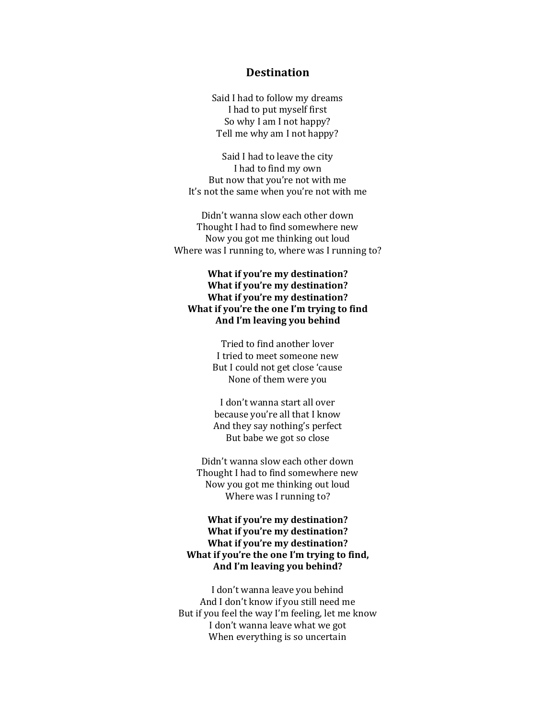## **Destination**

Said I had to follow my dreams I had to put myself first So why I am I not happy? Tell me why am I not happy?

Said I had to leave the city I had to find my own But now that you're not with me It's not the same when you're not with me

Didn't wanna slow each other down Thought I had to find somewhere new Now you got me thinking out loud Where was I running to, where was I running to?

## **What if you're my destination? What if you're my destination? What if you're my destination? What if you're the one I'm trying to find And I'm leaving you behind**

Tried to find another lover I tried to meet someone new But I could not get close 'cause None of them were you

I don't wanna start all over because you're all that I know And they say nothing's perfect But babe we got so close

Didn't wanna slow each other down Thought I had to find somewhere new Now you got me thinking out loud Where was I running to?

## **What if you're my destination? What if you're my destination? What if you're my destination? What if you're the one I'm trying to find, And I'm leaving you behind?**

I don't wanna leave you behind And I don't know if you still need me But if you feel the way I'm feeling, let me know I don't wanna leave what we got When everything is so uncertain